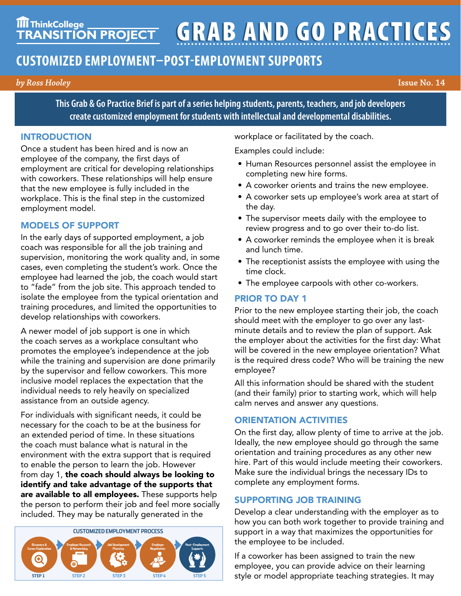**TIT ThinkCollege GRAB AND GO PRACTICES** 

# **CUSTOMIZED EMPLOYMENT–POST-EMPLOYMENT SUPPORTS**

*by Ross Hooley* **Issue No. 14**

**This Grab & Go Practice Brief is part of a series helping students, parents, teachers, and job developers create customized employment for students with intellectual and developmental disabilities.**

#### INTRODUCTION

Once a student has been hired and is now an employee of the company, the first days of employment are critical for developing relationships with coworkers. These relationships will help ensure that the new employee is fully included in the workplace. This is the final step in the customized employment model.

# MODELS OF SUPPORT

In the early days of supported employment, a job coach was responsible for all the job training and supervision, monitoring the work quality and, in some cases, even completing the student's work. Once the employee had learned the job, the coach would start to "fade" from the job site. This approach tended to isolate the employee from the typical orientation and training procedures, and limited the opportunities to develop relationships with coworkers.

A newer model of job support is one in which the coach serves as a workplace consultant who promotes the employee's independence at the job while the training and supervision are done primarily by the supervisor and fellow coworkers. This more inclusive model replaces the expectation that the individual needs to rely heavily on specialized assistance from an outside agency.

For individuals with significant needs, it could be necessary for the coach to be at the business for an extended period of time. In these situations the coach must balance what is natural in the environment with the extra support that is required to enable the person to learn the job. However from day 1, the coach should always be looking to identify and take advantage of the supports that are available to all employees. These supports help the person to perform their job and feel more socially included. They may be naturally generated in the



workplace or facilitated by the coach.

Examples could include:

- Human Resources personnel assist the employee in completing new hire forms.
- A coworker orients and trains the new employee.
- A coworker sets up employee's work area at start of the day.
- The supervisor meets daily with the employee to review progress and to go over their to-do list.
- A coworker reminds the employee when it is break and lunch time.
- The receptionist assists the employee with using the time clock.
- The employee carpools with other co-workers.

# PRIOR TO DAY 1

Prior to the new employee starting their job, the coach should meet with the employer to go over any lastminute details and to review the plan of support. Ask the employer about the activities for the first day: What will be covered in the new employee orientation? What is the required dress code? Who will be training the new employee?

All this information should be shared with the student (and their family) prior to starting work, which will help calm nerves and answer any questions.

# ORIENTATION ACTIVITIES

On the first day, allow plenty of time to arrive at the job. Ideally, the new employee should go through the same orientation and training procedures as any other new hire. Part of this would include meeting their coworkers. Make sure the individual brings the necessary IDs to complete any employment forms.

# SUPPORTING JOB TRAINING

Develop a clear understanding with the employer as to how you can both work together to provide training and support in a way that maximizes the opportunities for the employee to be included.

If a coworker has been assigned to train the new employee, you can provide advice on their learning style or model appropriate teaching strategies. It may